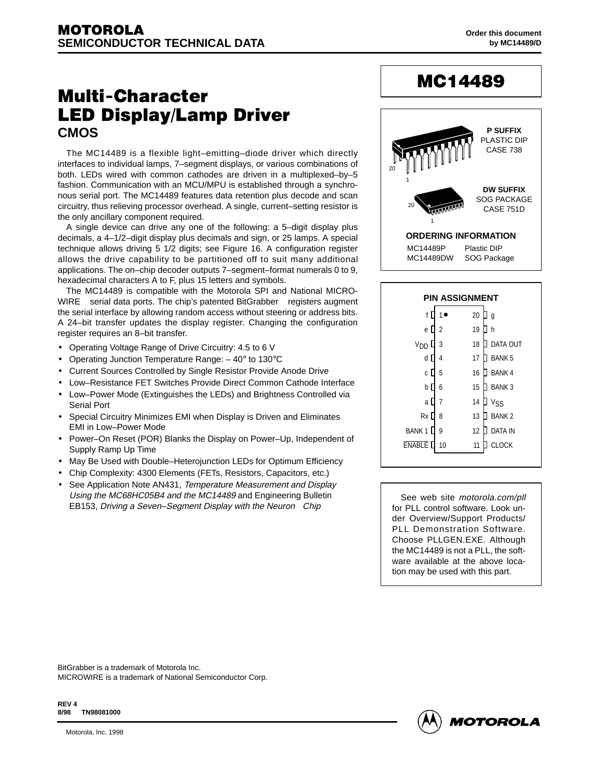# **Multi-Character LED Display/Lamp Driver CMOS**

The MC14489 is a flexible light–emitting–diode driver which directly interfaces to individual lamps, 7–segment displays, or various combinations of both. LEDs wired with common cathodes are driven in a multiplexed–by–5 fashion. Communication with an MCU/MPU is established through a synchronous serial port. The MC14489 features data retention plus decode and scan circuitry, thus relieving processor overhead. A single, current–setting resistor is the only ancillary component required.

A single device can drive any one of the following: a 5–digit display plus decimals, a 4–1/2–digit display plus decimals and sign, or 25 lamps. A special technique allows driving 5 1/2 digits; see Figure 16. A configuration register allows the drive capability to be partitioned off to suit many additional applications. The on–chip decoder outputs 7–segment–format numerals 0 to 9, hexadecimal characters A to F, plus 15 letters and symbols.

The MC14489 is compatible with the Motorola SPI and National MICRO-WIRE™ serial data ports. The chip's patented BitGrabber™ registers augment the serial interface by allowing random access without steering or address bits. A 24–bit transfer updates the display register. Changing the configuration register requires an 8–bit transfer.

- Operating Voltage Range of Drive Circuitry: 4.5 to 6 V
- Operating Junction Temperature Range: 40° to 130°C
- Current Sources Controlled by Single Resistor Provide Anode Drive
- Low–Resistance FET Switches Provide Direct Common Cathode Interface
- Low–Power Mode (Extinguishes the LEDs) and Brightness Controlled via Serial Port
- Special Circuitry Minimizes EMI when Display is Driven and Eliminates EMI in Low–Power Mode
- Power–On Reset (POR) Blanks the Display on Power–Up, Independent of Supply Ramp Up Time
- May Be Used with Double-Heterojunction LEDs for Optimum Efficiency
- Chip Complexity: 4300 Elements (FETs, Resistors, Capacitors, etc.)
- See Application Note AN431, Temperature Measurement and Display Using the MC68HC05B4 and the MC14489 and Engineering Bulletin EB153, Driving a Seven–Segment Display with the Neuron<sup>®</sup> Chip

# MC14489



| <b>PIN ASSIGNMENT</b> |    |    |                 |  |  |  |
|-----------------------|----|----|-----------------|--|--|--|
| f                     |    | 20 | g               |  |  |  |
| е                     | 2  | 19 | h               |  |  |  |
| חח                    | 3  | 18 | DATA OUT        |  |  |  |
| d                     | 4  | 17 | <b>BANK5</b>    |  |  |  |
| C                     | 5  | 16 | <b>BANK4</b>    |  |  |  |
| þ                     | 6  | 15 | <b>BANK3</b>    |  |  |  |
| a                     | 7  | 14 | V <sub>SS</sub> |  |  |  |
| Rx [                  | 8  | 13 | <b>BANK2</b>    |  |  |  |
| <b>BANK1</b>          | 9  | 12 | <b>DATA IN</b>  |  |  |  |
| <b>ENABLE</b>         | 10 | 11 | ΟСΚ             |  |  |  |
|                       |    |    |                 |  |  |  |

See web site motorola.com/pll for PLL control software. Look under Overview/Support Products/ PLL Demonstration Software. Choose PLLGEN.EXE. Although the MC14489 is not a PLL, the software available at the above location may be used with this part.

BitGrabber is a trademark of Motorola Inc. MICROWIRE is a trademark of National Semiconductor Corp.

**REV 4 8/98 TN98081000**

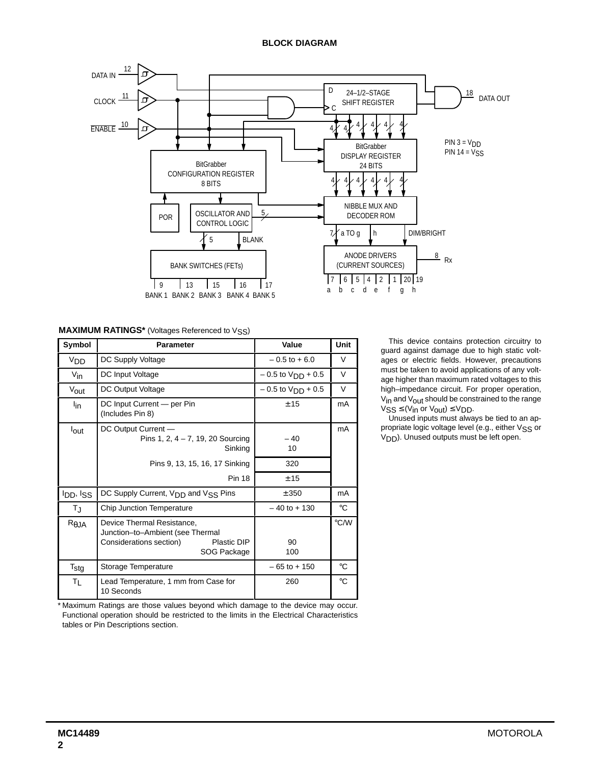#### **BLOCK DIAGRAM**



#### **MAXIMUM RATINGS\*** (Voltages Referenced to VSS)

| Symbol                                   | <b>Parameter</b>                                                                                                        | Value                 | Unit          | This device contains protection circuitry to<br>guard against damage due to high static volt-                                                                               |
|------------------------------------------|-------------------------------------------------------------------------------------------------------------------------|-----------------------|---------------|-----------------------------------------------------------------------------------------------------------------------------------------------------------------------------|
| V <sub>DD</sub>                          | DC Supply Voltage                                                                                                       | $-0.5$ to $+6.0$      | $\vee$        | ages or electric fields. However, precautions                                                                                                                               |
| $V_{\text{in}}$                          | DC Input Voltage                                                                                                        | $-0.5$ to $VDD + 0.5$ | $\vee$        | must be taken to avoid applications of any volt-<br>age higher than maximum rated voltages to this                                                                          |
| V <sub>out</sub>                         | DC Output Voltage                                                                                                       | $-0.5$ to $VDD + 0.5$ | V             | high-impedance circuit. For proper operation,                                                                                                                               |
| $I_{in}$                                 | DC Input Current - per Pin<br>(Includes Pin 8)                                                                          | ± 15                  | mA            | $V_{\text{in}}$ and $V_{\text{out}}$ should be constrained to the range<br>$VSS \leq (V_{in}$ or $V_{out}$ ) $\leq V_{DD}$ .<br>Unused inputs must always be tied to an ap- |
| lout                                     | DC Output Current -<br>Pins 1, 2, $4 - 7$ , 19, 20 Sourcing<br>Sinking                                                  | $-40$<br>10           | mA            | propriate logic voltage level (e.g., either Vss or<br>On Unused outputs must be left open.                                                                                  |
|                                          | Pins 9, 13, 15, 16, 17 Sinking                                                                                          | 320                   |               |                                                                                                                                                                             |
|                                          | <b>Pin 18</b>                                                                                                           | ± 15                  |               |                                                                                                                                                                             |
| <b>I</b> <sub>DD</sub> , I <sub>SS</sub> | DC Supply Current, V <sub>DD</sub> and V <sub>SS</sub> Pins                                                             | ± 350                 | mA            |                                                                                                                                                                             |
| $T_{\rm J}$                              | Chip Junction Temperature                                                                                               | $-40$ to $+130$       | $^{\circ}$ C  |                                                                                                                                                                             |
| $R_{\theta}$ JA                          | Device Thermal Resistance,<br>Junction-to-Ambient (see Thermal<br>Plastic DIP<br>Considerations section)<br>SOG Package | 90<br>100             | $\degree$ C/W |                                                                                                                                                                             |
| $\mathsf{T}_{\text{stg}}$                | Storage Temperature                                                                                                     | $-65$ to $+150$       | $^{\circ}$ C  |                                                                                                                                                                             |
| $T_{L}$                                  | Lead Temperature, 1 mm from Case for<br>10 Seconds                                                                      | 260                   | $^{\circ}$ C  |                                                                                                                                                                             |
|                                          |                                                                                                                         |                       |               |                                                                                                                                                                             |

 \* Maximum Ratings are those values beyond which damage to the device may occur. Functional operation should be restricted to the limits in the Electrical Characteristics tables or Pin Descriptions section.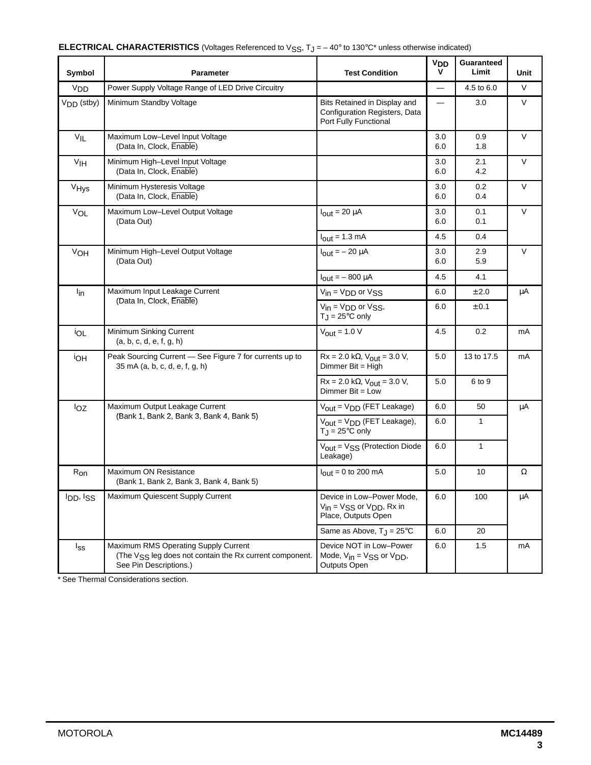| Symbol           | Parameter                                                                                                                             | <b>Test Condition</b>                                                                       | V <sub>DD</sub><br>v | Guaranteed<br>Limit | Unit   |
|------------------|---------------------------------------------------------------------------------------------------------------------------------------|---------------------------------------------------------------------------------------------|----------------------|---------------------|--------|
| V <sub>DD</sub>  | Power Supply Voltage Range of LED Drive Circuitry                                                                                     |                                                                                             | $\equiv$             | 4.5 to 6.0          | V      |
| $VDD$ (stby)     | Minimum Standby Voltage                                                                                                               | Bits Retained in Display and<br>Configuration Registers, Data<br>Port Fully Functional      |                      | 3.0                 | V      |
| V <sub>IL</sub>  | Maximum Low-Level Input Voltage<br>(Data In, Clock, Enable)                                                                           |                                                                                             | 3.0<br>6.0           | 0.9<br>1.8          | V      |
| V <sub>IH</sub>  | Minimum High-Level Input Voltage<br>(Data In, Clock, Enable)                                                                          |                                                                                             | 3.0<br>6.0           | 2.1<br>4.2          | V      |
| V <sub>Hys</sub> | Minimum Hysteresis Voltage<br>(Data In, Clock, Enable)                                                                                |                                                                                             | 3.0<br>6.0           | 0.2<br>0.4          | V      |
| VOL              | Maximum Low-Level Output Voltage<br>(Data Out)                                                                                        | $I_{\text{out}} = 20 \mu A$                                                                 | 3.0<br>6.0           | 0.1<br>0.1          | $\vee$ |
|                  |                                                                                                                                       | $I_{\text{out}} = 1.3 \text{ mA}$                                                           | 4.5                  | 0.4                 |        |
| V <sub>OH</sub>  | Minimum High-Level Output Voltage<br>(Data Out)                                                                                       | $I_{\text{out}} = -20 \mu A$                                                                | 3.0<br>6.0           | 2.9<br>5.9          | V      |
|                  |                                                                                                                                       | $I_{\text{out}} = -800 \mu A$                                                               | 4.5                  | 4.1                 |        |
| $I_{in}$         | Maximum Input Leakage Current                                                                                                         | $V_{in} = V_{DD}$ or $V_{SS}$                                                               | 6.0                  | ± 2.0               | μA     |
|                  | (Data In, Clock, Enable)                                                                                                              | $V_{in} = V_{DD}$ or $V_{SS}$ ,<br>$T_J = 25^{\circ}C$ only                                 | 6.0                  | ± 0.1               |        |
| İOL              | Minimum Sinking Current<br>(a, b, c, d, e, f, g, h)                                                                                   | $V_{\text{out}} = 1.0 V$                                                                    | 4.5                  | 0.2                 | mA     |
| <b>IOH</b>       | Peak Sourcing Current - See Figure 7 for currents up to<br>35 mA (a, b, c, d, e, f, g, h)                                             | $Rx = 2.0 k\Omega$ , $V_{out} = 3.0 V$ ,<br>Dimmer Bit = High                               | 5.0                  | 13 to 17.5          | mA     |
|                  |                                                                                                                                       | $Rx = 2.0 k\Omega$ , $V_{\text{out}} = 3.0 V$ ,<br>Dimmer $Bit = Low$                       | 5.0                  | 6 to 9              |        |
| loz              | Maximum Output Leakage Current                                                                                                        | $V_{\text{out}} = V_{\text{DD}}$ (FET Leakage)                                              | 6.0                  | 50                  | μA     |
|                  | (Bank 1, Bank 2, Bank 3, Bank 4, Bank 5)                                                                                              | $V_{\text{out}} = V_{\text{DD}}$ (FET Leakage),<br>$T_J = 25^{\circ}C$ only                 | 6.0                  | 1                   |        |
|                  |                                                                                                                                       | $V_{\text{out}} = V_{SS}$ (Protection Diode<br>Leakage)                                     | 6.0                  | $\mathbf{1}$        |        |
| $R_{on}$         | Maximum ON Resistance<br>(Bank 1, Bank 2, Bank 3, Bank 4, Bank 5)                                                                     | $I_{\text{out}} = 0$ to 200 mA                                                              | 5.0                  | 10                  | Ω      |
| <b>IDD</b> , ISS | Maximum Quiescent Supply Current                                                                                                      | Device in Low-Power Mode,<br>$V_{in}$ = $V_{SS}$ or $V_{DD}$ , Rx in<br>Place, Outputs Open | 6.0                  | 100                 | μA     |
|                  |                                                                                                                                       | Same as Above, $T_J = 25^{\circ}C$                                                          | 6.0                  | 20                  |        |
| $I_{SS}$         | Maximum RMS Operating Supply Current<br>(The V <sub>SS</sub> leg does not contain the Rx current component.<br>See Pin Descriptions.) | Device NOT in Low-Power<br>Mode, $V_{in} = V_{SS}$ or $V_{DD}$ ,<br><b>Outputs Open</b>     | 6.0                  | 1.5                 | mA     |

\* See Thermal Considerations section.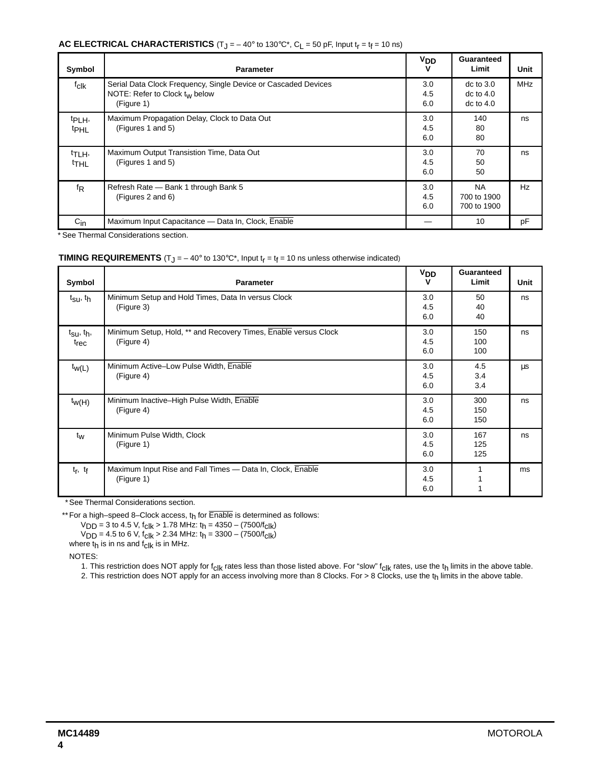#### **AC ELECTRICAL CHARACTERISTICS**  $(T_J = -40^\circ \text{ to } 130^\circ \text{C}^*$ ,  $C_L = 50 \text{ pF}$ , Input  $t_f = t_f = 10 \text{ ns}$ )

| Symbol                                            | <b>Parameter</b>                                                                                                          | V <sub>DD</sub><br>v | Guaranteed<br>Limit                             | Unit       |
|---------------------------------------------------|---------------------------------------------------------------------------------------------------------------------------|----------------------|-------------------------------------------------|------------|
| f <sub>clk</sub>                                  | Serial Data Clock Frequency, Single Device or Cascaded Devices<br>NOTE: Refer to Clock t <sub>w</sub> below<br>(Figure 1) | 3.0<br>4.5<br>6.0    | $dc$ to $3.0$<br>$dc$ to $4.0$<br>$dc$ to $4.0$ | <b>MHz</b> |
| t <sub>PLH</sub> ,<br>t <sub>PHL</sub>            | Maximum Propagation Delay, Clock to Data Out<br>(Figures 1 and 5)                                                         | 3.0<br>4.5<br>6.0    | 140<br>80<br>80                                 | ns         |
| <sup>t</sup> TLH <sub>'</sub><br><sup>t</sup> THL | Maximum Output Transistion Time, Data Out<br>(Figures 1 and 5)                                                            | 3.0<br>4.5<br>6.0    | 70<br>50<br>50                                  | ns         |
| fŖ                                                | Refresh Rate - Bank 1 through Bank 5<br>(Figures 2 and 6)                                                                 | 3.0<br>4.5<br>6.0    | <b>NA</b><br>700 to 1900<br>700 to 1900         | Hz         |
| $C_{\text{in}}$                                   | Maximum Input Capacitance — Data In, Clock, Enable                                                                        |                      | 10                                              | pF         |

\* See Thermal Considerations section.

#### **TIMING REQUIREMENTS** (T<sub>J</sub> =  $-40^{\circ}$  to 130°C<sup>\*</sup>, Input t<sub>r</sub> = t<sub>f</sub> = 10 ns unless otherwise indicated)

| Symbol                                          | <b>Parameter</b>                                                              | <b>V<sub>DD</sub></b><br>v | Guaranteed<br>Limit | Unit |
|-------------------------------------------------|-------------------------------------------------------------------------------|----------------------------|---------------------|------|
| t <sub>su</sub> , t <sub>h</sub>                | Minimum Setup and Hold Times, Data In versus Clock<br>(Figure 3)              | 3.0<br>4.5<br>6.0          | 50<br>40<br>40      | ns   |
| t <sub>Su</sub> , t <sub>h</sub> ,<br>$t_{rec}$ | Minimum Setup, Hold, ** and Recovery Times, Enable versus Clock<br>(Figure 4) | 3.0<br>4.5<br>6.0          | 150<br>100<br>100   | ns   |
| $t_{W(L)}$                                      | Minimum Active-Low Pulse Width, Enable<br>(Figure 4)                          | 3.0<br>4.5<br>6.0          | 4.5<br>3.4<br>3.4   | μs   |
| $t_{W(H)}$                                      | Minimum Inactive-High Pulse Width, Enable<br>(Figure 4)                       | 3.0<br>4.5<br>6.0          | 300<br>150<br>150   | ns   |
| $t_W$                                           | Minimum Pulse Width, Clock<br>(Figure 1)                                      | 3.0<br>4.5<br>6.0          | 167<br>125<br>125   | ns   |
| $t_f$ , $t_f$                                   | Maximum Input Rise and Fall Times - Data In, Clock, Enable<br>(Figure 1)      | 3.0<br>4.5<br>6.0          |                     | ms   |

\* See Thermal Considerations section.

\*\* For a high–speed 8–Clock access, t<sub>h</sub> for Enable is determined as follows:

 $V<sub>DD</sub> = 3$  to 4.5 V, f<sub>Clk</sub> > 1.78 MHz: t<sub>h</sub> = 4350 – (7500/f<sub>Clk</sub>)

V<sub>DD</sub> = 4.5 to 6 V, f<sub>Clk</sub> > 2.34 MHz: t<sub>h</sub> = 3300 – (7500/f<sub>Clk</sub>)

where  $t_h$  is in ns and  $t_{clk}$  is in MHz.

NOTES:

1. This restriction does NOT apply for f<sub>Clk</sub> rates less than those listed above. For "slow" f<sub>Clk</sub> rates, use the t<sub>h</sub> limits in the above table.

2. This restriction does NOT apply for an access involving more than 8 Clocks. For > 8 Clocks, use the t<sub>h</sub> limits in the above table.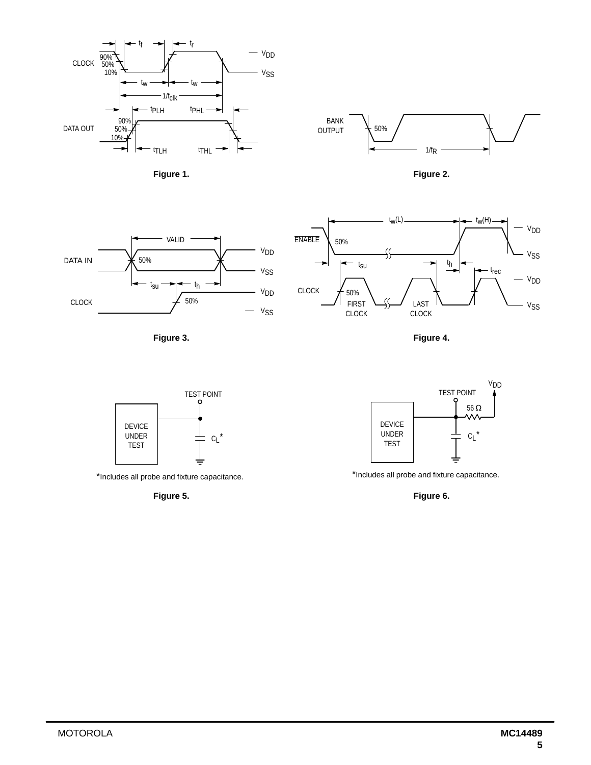

**Figure 1. Figure 2. Figure 2.** 







**Figure 3. Figure 4.** 



\*Includes all probe and fixture capacitance.



\*Includes all probe and fixture capacitance.

**Figure 5. Figure 6.**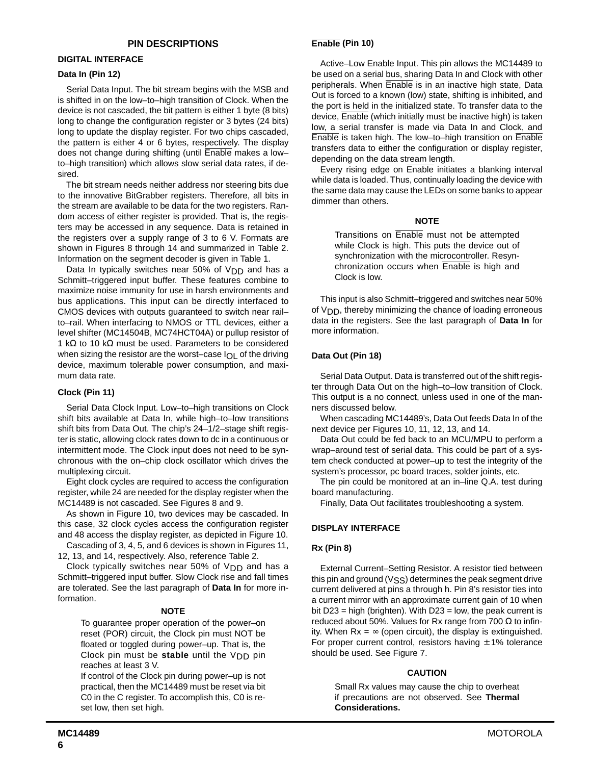#### **DIGITAL INTERFACE**

#### **Data In (Pin 12)**

Serial Data Input. The bit stream begins with the MSB and is shifted in on the low–to–high transition of Clock. When the device is not cascaded, the bit pattern is either 1 byte (8 bits) long to change the configuration register or 3 bytes (24 bits) long to update the display register. For two chips cascaded, the pattern is either 4 or 6 bytes, respectively. The display does not change during shifting (until Enable makes a low– to–high transition) which allows slow serial data rates, if desired.

The bit stream needs neither address nor steering bits due to the innovative BitGrabber registers. Therefore, all bits in the stream are available to be data for the two registers. Random access of either register is provided. That is, the registers may be accessed in any sequence. Data is retained in the registers over a supply range of 3 to 6 V. Formats are shown in Figures 8 through 14 and summarized in Table 2. Information on the segment decoder is given in Table 1.

Data In typically switches near 50% of  $V_{\text{DD}}$  and has a Schmitt–triggered input buffer. These features combine to maximize noise immunity for use in harsh environments and bus applications. This input can be directly interfaced to CMOS devices with outputs guaranteed to switch near rail– to–rail. When interfacing to NMOS or TTL devices, either a level shifter (MC14504B, MC74HCT04A) or pullup resistor of 1 k $\Omega$  to 10 k $\Omega$  must be used. Parameters to be considered when sizing the resistor are the worst–case  $I_{\bigcap I}$  of the driving device, maximum tolerable power consumption, and maximum data rate.

#### **Clock (Pin 11)**

Serial Data Clock Input. Low–to–high transitions on Clock shift bits available at Data In, while high–to–low transitions shift bits from Data Out. The chip's 24–1/2–stage shift register is static, allowing clock rates down to dc in a continuous or intermittent mode. The Clock input does not need to be synchronous with the on–chip clock oscillator which drives the multiplexing circuit.

Eight clock cycles are required to access the configuration register, while 24 are needed for the display register when the MC14489 is not cascaded. See Figures 8 and 9.

As shown in Figure 10, two devices may be cascaded. In this case, 32 clock cycles access the configuration register and 48 access the display register, as depicted in Figure 10.

Cascading of 3, 4, 5, and 6 devices is shown in Figures 11, 12, 13, and 14, respectively. Also, reference Table 2.

Clock typically switches near  $50\%$  of  $V<sub>DD</sub>$  and has a Schmitt–triggered input buffer. Slow Clock rise and fall times are tolerated. See the last paragraph of **Data In** for more information.

#### **NOTE**

To guarantee proper operation of the power–on reset (POR) circuit, the Clock pin must NOT be floated or toggled during power–up. That is, the Clock pin must be **stable** until the VDD pin reaches at least 3 V.

If control of the Clock pin during power–up is not practical, then the MC14489 must be reset via bit C0 in the C register. To accomplish this, C0 is reset low, then set high.

## **Enable (Pin 10)**

Active–Low Enable Input. This pin allows the MC14489 to be used on a serial bus, sharing Data In and Clock with other peripherals. When Enable is in an inactive high state, Data Out is forced to a known (low) state, shifting is inhibited, and the port is held in the initialized state. To transfer data to the device, Enable (which initially must be inactive high) is taken low, a serial transfer is made via Data In and Clock, and Enable is taken high. The low–to–high transition on Enable transfers data to either the configuration or display register, depending on the data stream length.

Every rising edge on Enable initiates a blanking interval while data is loaded. Thus, continually loading the device with the same data may cause the LEDs on some banks to appear dimmer than others.

#### **NOTE**

Transitions on Enable must not be attempted while Clock is high. This puts the device out of synchronization with the microcontroller. Resynchronization occurs when Enable is high and Clock is low.

This input is also Schmitt–triggered and switches near 50% of VDD, thereby minimizing the chance of loading erroneous data in the registers. See the last paragraph of **Data In** for more information.

#### **Data Out (Pin 18)**

Serial Data Output. Data is transferred out of the shift register through Data Out on the high–to–low transition of Clock. This output is a no connect, unless used in one of the manners discussed below.

When cascading MC14489's, Data Out feeds Data In of the next device per Figures 10, 11, 12, 13, and 14.

Data Out could be fed back to an MCU/MPU to perform a wrap–around test of serial data. This could be part of a system check conducted at power–up to test the integrity of the system's processor, pc board traces, solder joints, etc.

The pin could be monitored at an in–line Q.A. test during board manufacturing.

Finally, Data Out facilitates troubleshooting a system.

#### **DISPLAY INTERFACE**

#### **Rx (Pin 8)**

External Current–Setting Resistor. A resistor tied between this pin and ground (VSS) determines the peak segment drive current delivered at pins a through h. Pin 8's resistor ties into a current mirror with an approximate current gain of 10 when bit  $D23$  = high (brighten). With  $D23$  = low, the peak current is reduced about 50%. Values for Rx range from 700  $\Omega$  to infinity. When  $Rx = \infty$  (open circuit), the display is extinguished. For proper current control, resistors having  $\pm$  1% tolerance should be used. See Figure 7.

#### **CAUTION**

Small Rx values may cause the chip to overheat if precautions are not observed. See **Thermal Considerations.**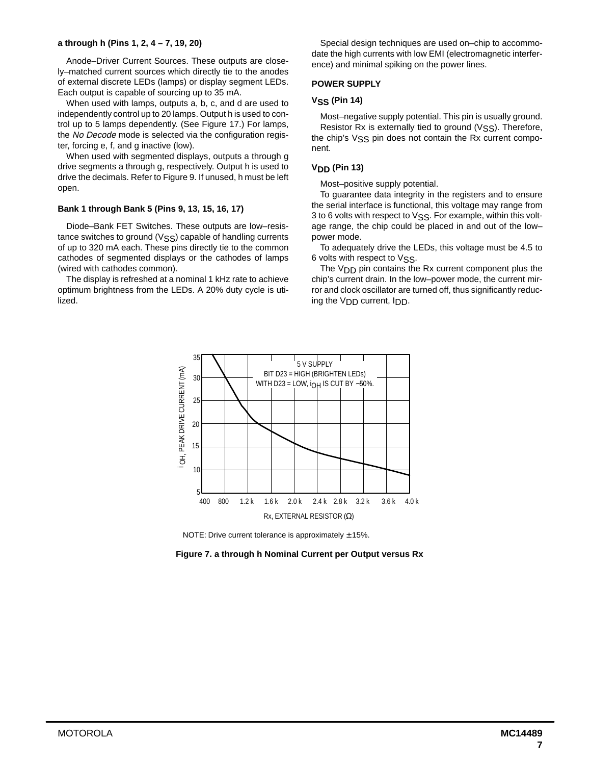#### **a through h (Pins 1, 2, 4 – 7, 19, 20)**

Anode–Driver Current Sources. These outputs are closely–matched current sources which directly tie to the anodes of external discrete LEDs (lamps) or display segment LEDs. Each output is capable of sourcing up to 35 mA.

When used with lamps, outputs a, b, c, and d are used to independently control up to 20 lamps. Output h is used to control up to 5 lamps dependently. (See Figure 17.) For lamps, the No Decode mode is selected via the configuration register, forcing e, f, and g inactive (low).

When used with segmented displays, outputs a through g drive segments a through g, respectively. Output h is used to drive the decimals. Refer to Figure 9. If unused, h must be left open.

#### **Bank 1 through Bank 5 (Pins 9, 13, 15, 16, 17)**

Diode–Bank FET Switches. These outputs are low–resistance switches to ground  $(VSS)$  capable of handling currents of up to 320 mA each. These pins directly tie to the common cathodes of segmented displays or the cathodes of lamps (wired with cathodes common).

The display is refreshed at a nominal 1 kHz rate to achieve optimum brightness from the LEDs. A 20% duty cycle is utilized.

Special design techniques are used on–chip to accommodate the high currents with low EMI (electromagnetic interference) and minimal spiking on the power lines.

#### **POWER SUPPLY**

#### **VSS (Pin 14)**

Most–negative supply potential. This pin is usually ground. Resistor Rx is externally tied to ground  $(VSS)$ . Therefore, the chip's VSS pin does not contain the Rx current component.

#### **VDD (Pin 13)**

Most–positive supply potential.

To guarantee data integrity in the registers and to ensure the serial interface is functional, this voltage may range from 3 to 6 volts with respect to VSS. For example, within this voltage range, the chip could be placed in and out of the low– power mode.

To adequately drive the LEDs, this voltage must be 4.5 to 6 volts with respect to VSS.

The V<sub>DD</sub> pin contains the Rx current component plus the chip's current drain. In the low–power mode, the current mirror and clock oscillator are turned off, thus significantly reducing the VDD current, IDD.



NOTE: Drive current tolerance is approximately  $\pm$  15%.

**Figure 7. a through h Nominal Current per Output versus Rx**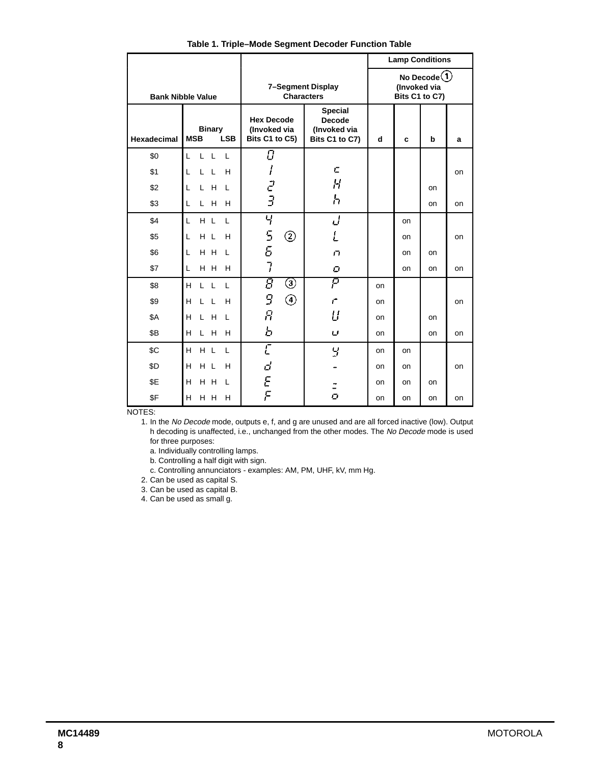|                          |                                                   |                                                     |                                                                   |                                                   | <b>Lamp Conditions</b> |    |    |
|--------------------------|---------------------------------------------------|-----------------------------------------------------|-------------------------------------------------------------------|---------------------------------------------------|------------------------|----|----|
| <b>Bank Nibble Value</b> |                                                   | 7-Segment Display<br><b>Characters</b>              |                                                                   | No Decode $(1)$<br>(Invoked via<br>Bits C1 to C7) |                        |    |    |
| <b>Hexadecimal</b>       | <b>Binary</b><br><b>LSB</b><br><b>MSB</b>         | <b>Hex Decode</b><br>(Invoked via<br>Bits C1 to C5) | <b>Special</b><br><b>Decode</b><br>(Invoked via<br>Bits C1 to C7) | d<br>c                                            |                        | b  | a  |
| \$0                      | $\mathsf{L}$<br>$\mathsf{L}$<br>L<br>$\mathbf{L}$ | Ū                                                   |                                                                   |                                                   |                        |    |    |
| \$1                      | H<br>L<br>$\mathsf{L}$<br>L                       | I                                                   | C                                                                 |                                                   |                        |    | on |
| \$2                      | H<br>L<br>L<br>L                                  | $\vec{c}$                                           | Н                                                                 |                                                   |                        | on |    |
| \$3                      | H<br>L<br>Г<br>H                                  | 3                                                   | h                                                                 |                                                   |                        | on | on |
| \$4                      | H L<br>L<br>L                                     | Ч                                                   | J                                                                 |                                                   | on                     |    |    |
| \$5                      | L<br>H L<br>H                                     | 5<br>5<br>②                                         | L                                                                 |                                                   | on                     |    | on |
| \$6                      | H H<br>L<br>L                                     |                                                     | ГI.                                                               |                                                   | on                     | on |    |
| \$7                      | L<br>H H<br>H                                     | 7                                                   | ο                                                                 |                                                   | <b>on</b>              | on | on |
| \$8                      | H<br>L L<br>L                                     | 8<br>③                                              | P                                                                 | on                                                |                        |    |    |
| \$9                      | н<br>$\mathsf{L}$<br>H<br>L                       | 9<br>④                                              | Ē                                                                 | on                                                |                        |    | on |
| \$A                      | H<br>H<br>L<br>L                                  | Я                                                   | U                                                                 | on                                                |                        | on |    |
| \$B                      | H<br>H<br>H<br>L.                                 | Ь                                                   | U                                                                 | on                                                |                        | on | on |
| \$C                      | H L<br>H<br>$\mathbf{I}$                          | Ē                                                   | 9                                                                 | on                                                | on                     |    |    |
| \$D                      | H L<br>H<br>н                                     | d                                                   |                                                                   | on                                                | on                     |    | on |
| \$E                      | H<br>H H<br>L                                     | E<br>F                                              |                                                                   | on                                                | on                     | on |    |
| \$F                      | H<br>H H<br>H                                     |                                                     | Ō                                                                 | on                                                | on                     | on | on |

**Table 1. Triple–Mode Segment Decoder Function Table**

NOTES:

1. In the No Decode mode, outputs e, f, and g are unused and are all forced inactive (low). Output h decoding is unaffected, i.e., unchanged from the other modes. The No Decode mode is used for three purposes:

a. Individually controlling lamps.

b. Controlling a half digit with sign.

c. Controlling annunciators - examples: AM, PM, UHF, kV, mm Hg.

2. Can be used as capital S.

3. Can be used as capital B.

4. Can be used as small g.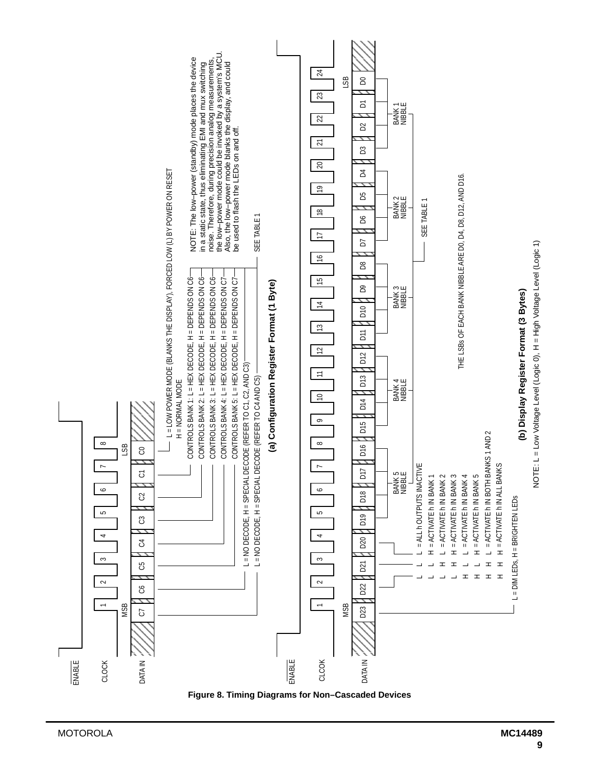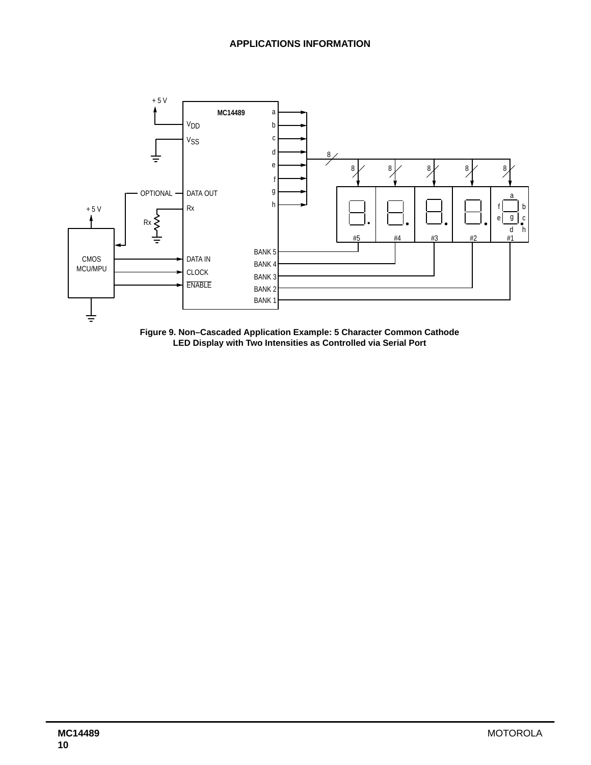

**Figure 9. Non–Cascaded Application Example: 5 Character Common Cathode LED Display with Two Intensities as Controlled via Serial Port**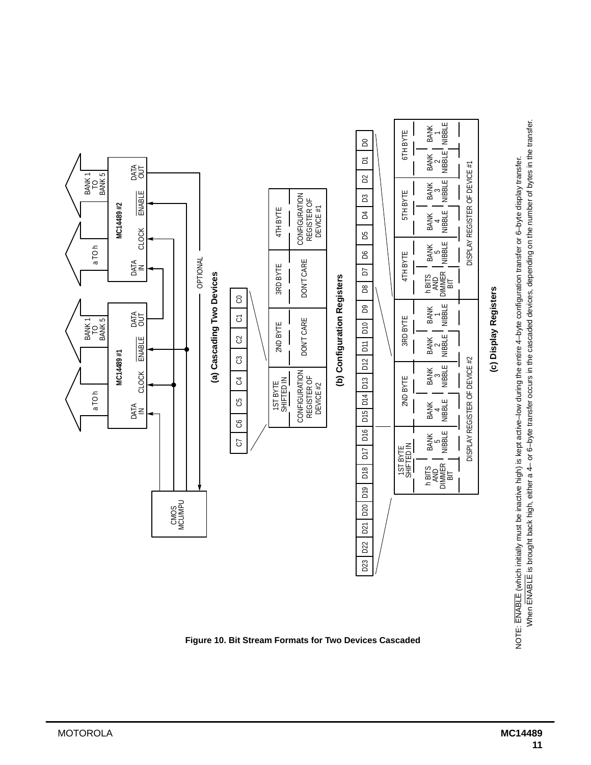

**Figure 10. Bit Stream Formats for Two Devices Cascaded**

When ENABLE is brought back high, either a 4- or 6-byte transfer occurs in the cascaded devices, depending on the number of bytes in the transfer. When ENABLE is brought back high, either a 4– or 6–byte transfer occurs in the cascaded devices, depending on the number of bytes in the transfer.NOTE: ENABLE (which initially must be inactive high) is kept active-low during the entire 4-byte configuration transfer or 6-byte display transfer. NOTE: ENABLE (which initially must be inactive high) is kept active–low during the entire 4–byte configuration transfer or 6–byte display transfer.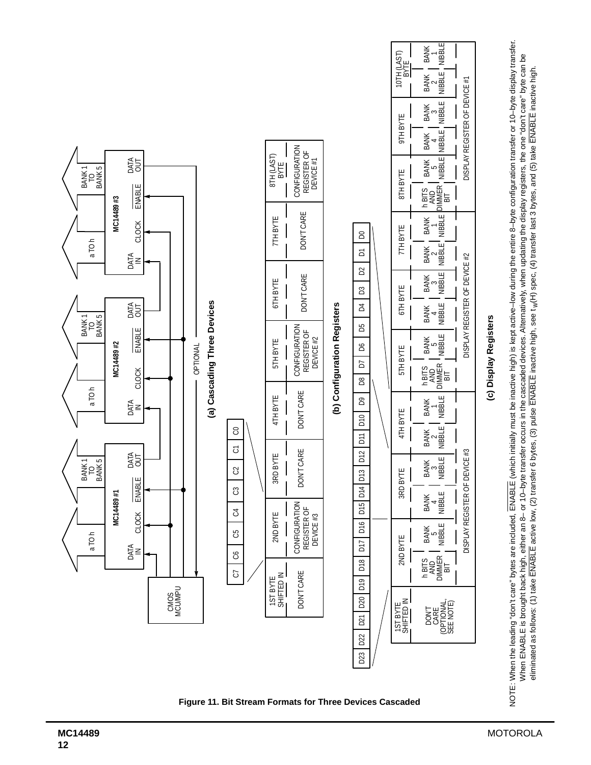

**Figure 11. Bit Stream Formats for Three Devices Cascaded**

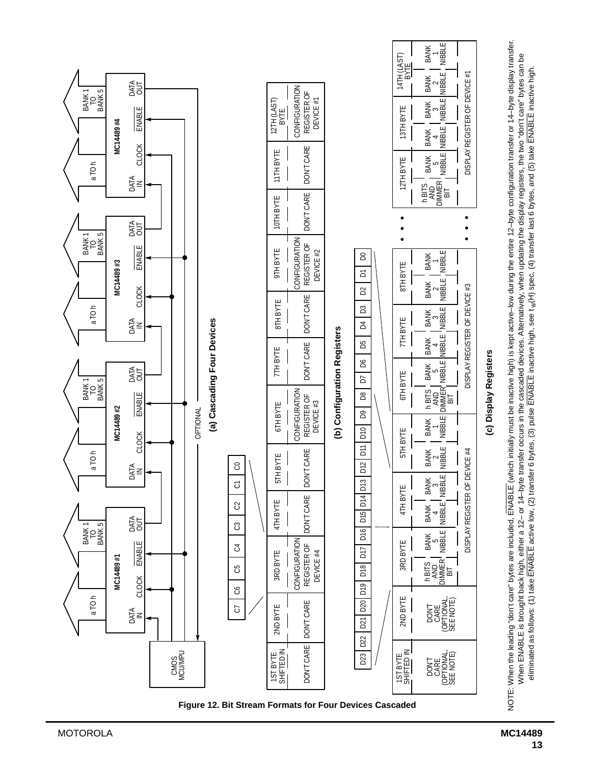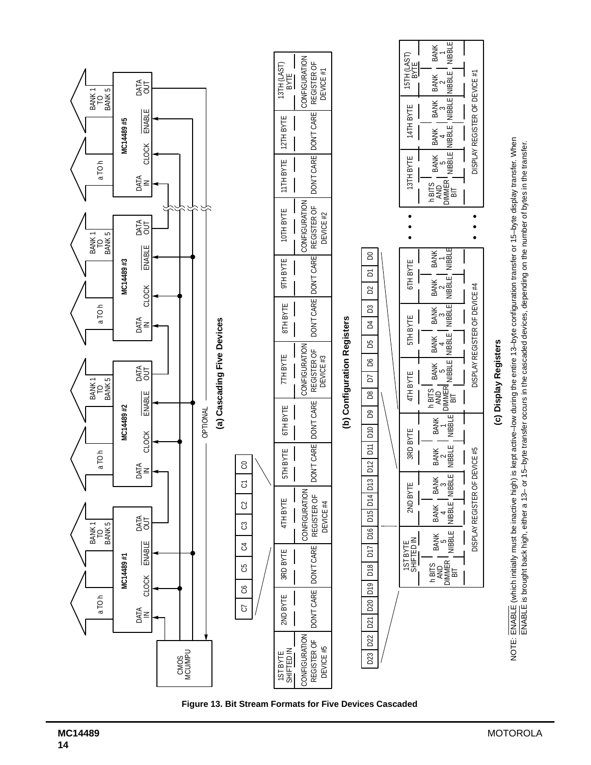

**Figure 13. Bit Stream Formats for Five Devices Cascaded**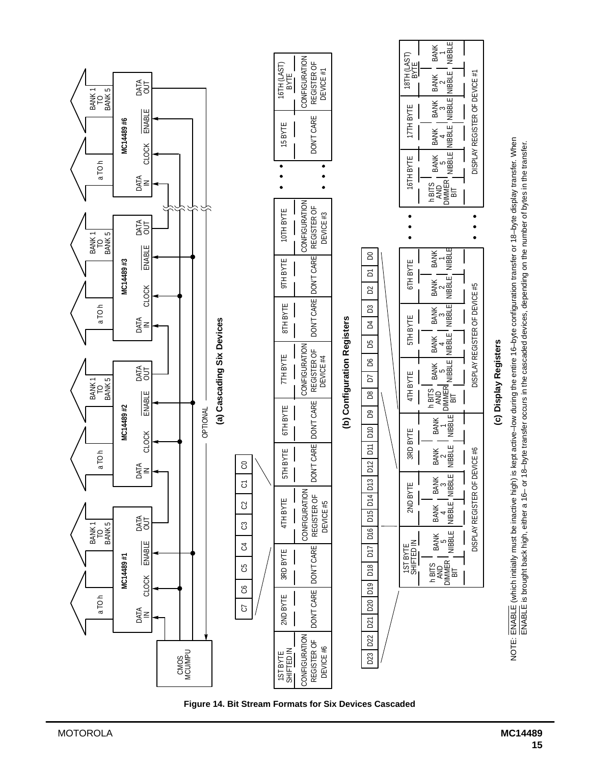

**Figure 14. Bit Stream Formats for Six Devices Cascaded**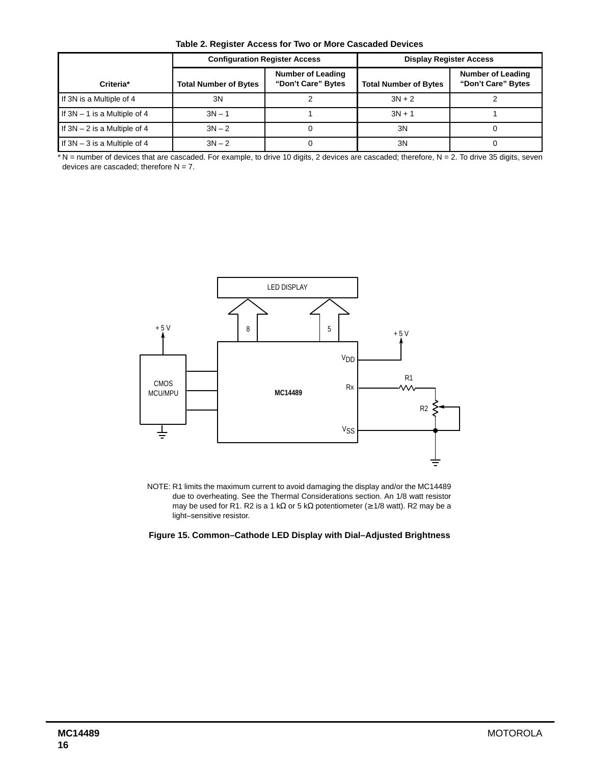**Table 2. Register Access for Two or More Cascaded Devices**

|                                | <b>Configuration Register Access</b> |                                                | <b>Display Register Access</b> |                                                |  |
|--------------------------------|--------------------------------------|------------------------------------------------|--------------------------------|------------------------------------------------|--|
| Criteria*                      | <b>Total Number of Bytes</b>         | <b>Number of Leading</b><br>"Don't Care" Bytes | <b>Total Number of Bytes</b>   | <b>Number of Leading</b><br>"Don't Care" Bytes |  |
| If 3N is a Multiple of 4       | 3N                                   |                                                | $3N + 2$                       |                                                |  |
| If $3N - 1$ is a Multiple of 4 | $3N - 1$                             |                                                | $3N + 1$                       |                                                |  |
| If $3N - 2$ is a Multiple of 4 | $3N - 2$                             |                                                | 3N                             |                                                |  |
| If $3N - 3$ is a Multiple of 4 | $3N - 2$                             |                                                | 3N                             |                                                |  |

\*N = number of devices that are cascaded. For example, to drive 10 digits, 2 devices are cascaded; therefore, N = 2. To drive 35 digits, seven devices are cascaded; therefore  $N = 7$ .



NOTE: R1 limits the maximum current to avoid damaging the display and/or the MC14489 due to overheating. See the Thermal Considerations section. An 1/8 watt resistor may be used for R1. R2 is a 1 kΩ or 5 kΩ potentiometer ( $\geq$  1/8 watt). R2 may be a light–sensitive resistor.

**Figure 15. Common–Cathode LED Display with Dial–Adjusted Brightness**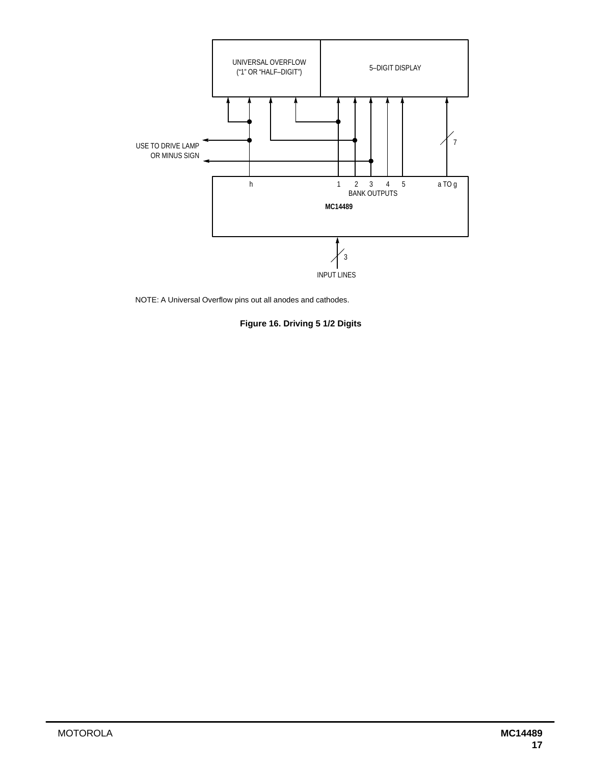

NOTE: A Universal Overflow pins out all anodes and cathodes.

**Figure 16. Driving 5 1/2 Digits**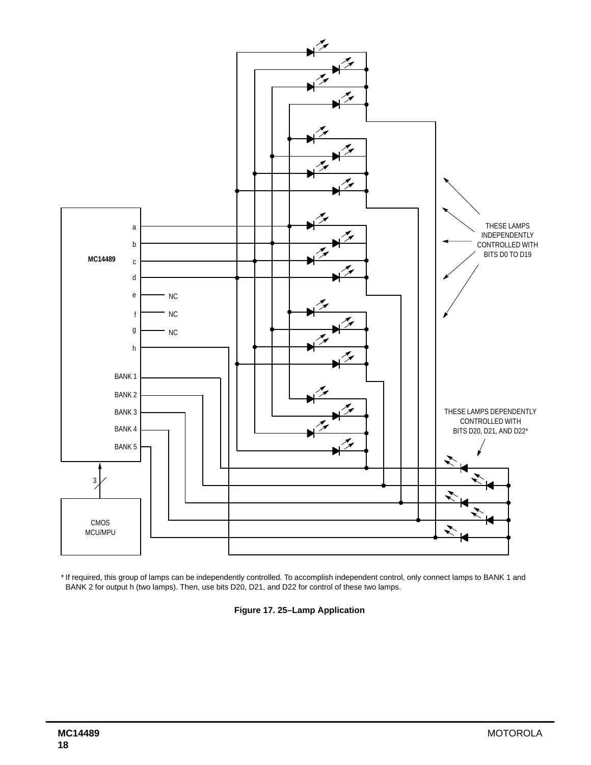

\* If required, this group of lamps can be independently controlled. To accomplish independent control, only connect lamps to BANK 1 and BANK 2 for output h (two lamps). Then, use bits D20, D21, and D22 for control of these two lamps.

**Figure 17. 25–Lamp Application**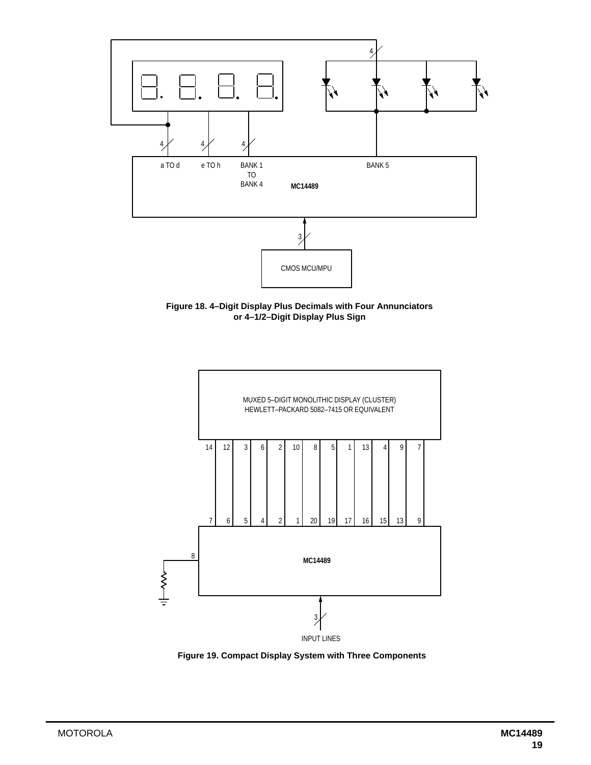

**Figure 18. 4–Digit Display Plus Decimals with Four Annunciators or 4–1/2–Digit Display Plus Sign**



**Figure 19. Compact Display System with Three Components**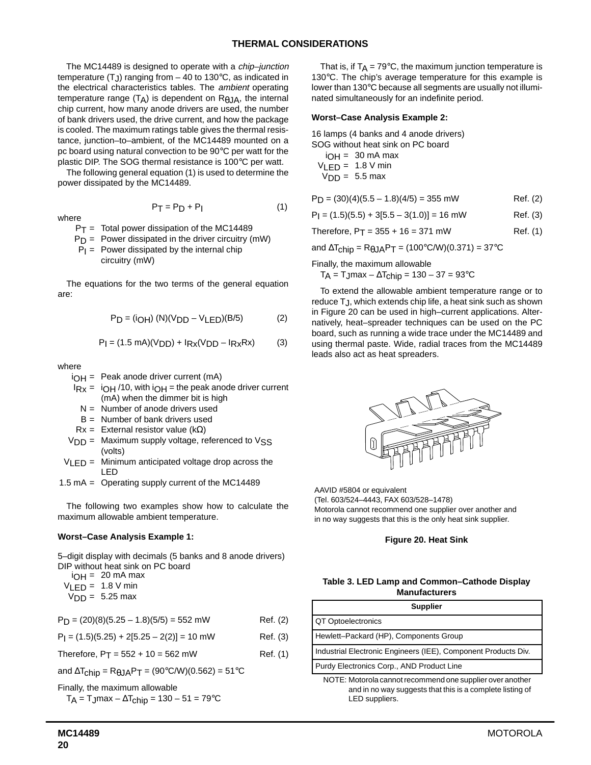The MC14489 is designed to operate with a *chip-junction* temperature  $(T_J)$  ranging from  $-$  40 to 130 $\degree$ C, as indicated in the electrical characteristics tables. The ambient operating temperature range  $(T_A)$  is dependent on  $R_{AJA}$ , the internal chip current, how many anode drivers are used, the number of bank drivers used, the drive current, and how the package is cooled. The maximum ratings table gives the thermal resistance, junction–to–ambient, of the MC14489 mounted on a pc board using natural convection to be 90°C per watt for the plastic DIP. The SOG thermal resistance is 100°C per watt.

The following general equation (1) is used to determine the power dissipated by the MC14489.

where

$$
f_{\rm{max}}(x)
$$

 $P_T = P_D + P_I$  (1)

$$
P_T = \text{Total power dissipation of the MC14489}
$$

- $P_D$  = Power dissipated in the driver circuitry (mW)
- $P_1$  = Power dissipated by the internal chip circuitry (mW)

The equations for the two terms of the general equation are:

$$
P_D = (i_{OH}) (N)(V_{DD} - V_{LED})(B/5)
$$
 (2)

$$
P_I = (1.5 \text{ mA})(V_{DD}) + I_{Rx}(V_{DD} - I_{Rx}Rx)
$$
 (3)

where

i OH = Peak anode driver current (mA)

- $I_{\text{Rx}} = I_{\text{OH}}/10$ , with  $I_{\text{OH}} = I_{\text{the}}$  peak anode driver current (mA) when the dimmer bit is high
	- $N =$  Number of anode drivers used
	- B = Number of bank drivers used
- $Rx =$  External resistor value (kΩ)

$$
V_{DD} = \text{Maximum supply voltage, referenced to VSS (volts)}
$$

- $V_{\text{LED}} =$  Minimum anticipated voltage drop across the LED
- 1.5 mA = Operating supply current of the MC14489

The following two examples show how to calculate the maximum allowable ambient temperature.

#### **Worst–Case Analysis Example 1:**

5–digit display with decimals (5 banks and 8 anode drivers) DIP without heat sink on PC board

i OH = 20 mA max  $V_{LED} = 1.8 V$  min  $V<sub>DD</sub> = 5.25$  max

 $P_D = (20)(8)(5.25 - 1.8)(5/5) = 552$  mW Ref. (2)

 $P_1 = (1.5)(5.25) + 2[5.25 - 2(2)] = 10$  mW Ref. (3)

Therefore,  $P_T = 552 + 10 = 562$  mW Ref. (1)

and  $\Delta T_{\text{chip}} = R_{\theta J} A P_T = (90^{\circ} \text{C/W})(0.562) = 51^{\circ} \text{C}$ 

Finally, the maximum allowable

$$
T_A = T_J \text{max} - \Delta T_{chip} = 130 - 51 = 79^{\circ} \text{C}
$$

That is, if  $T_A = 79^\circ \text{C}$ , the maximum junction temperature is 130°C. The chip's average temperature for this example is lower than 130°C because all segments are usually not illuminated simultaneously for an indefinite period.

#### **Worst–Case Analysis Example 2:**

16 lamps (4 banks and 4 anode drivers)

SOG without heat sink on PC board

i OH = 30 mA max  $V_{LED} = 1.8 V$  min  $V<sub>DD</sub> = 5.5$  max

 $P_D = (30)(4)(5.5 - 1.8)(4/5) = 355$  mW Ref. (2)

 $P_1 = (1.5)(5.5) + 3[5.5 - 3(1.0)] = 16$  mW Ref. (3)

Therefore,  $P_T = 355 + 16 = 371$  mW Ref. (1)

and  $\Delta T_{chip} = R_{\theta J}AP_T = (100^{\circ}C/W)(0.371) = 37^{\circ}C$ 

Finally, the maximum allowable

T<sub>A</sub> = T<sub>J</sub>max –  $\Delta$ T<sub>chip</sub> = 130 – 37 = 93°C

To extend the allowable ambient temperature range or to reduce TJ, which extends chip life, a heat sink such as shown in Figure 20 can be used in high–current applications. Alternatively, heat–spreader techniques can be used on the PC board, such as running a wide trace under the MC14489 and using thermal paste. Wide, radial traces from the MC14489 leads also act as heat spreaders.



AAVID #5804 or equivalent (Tel. 603/524–4443, FAX 603/528–1478) Motorola cannot recommend one supplier over another and in no way suggests that this is the only heat sink supplier.

#### **Figure 20. Heat Sink**

#### **Table 3. LED Lamp and Common–Cathode Display Manufacturers**

| <b>Supplier</b>                                                |  |  |  |  |
|----------------------------------------------------------------|--|--|--|--|
| QT Optoelectronics                                             |  |  |  |  |
| Hewlett-Packard (HP), Components Group                         |  |  |  |  |
| Industrial Electronic Engineers (IEE), Component Products Div. |  |  |  |  |
| Purdy Electronics Corp., AND Product Line                      |  |  |  |  |
| NOTE : Meterele equipment personnel exploration proposable an  |  |  |  |  |

NOTE: Motorola cannot recommend one supplier over another and in no way suggests that this is a complete listing of LED suppliers.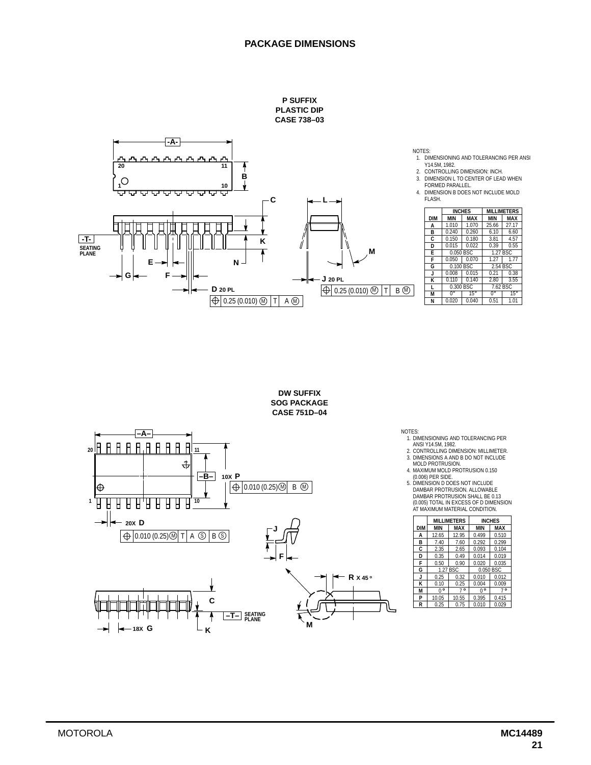### **PACKAGE DIMENSIONS**









NOTES:

- 
- 1. DIMENSIONING AND TOLERANCING PER<br>2. CONTROLLING DIMENSION: MILLIMETER.<br>2. CONTROLLING DIMENSION: MILLIMETER.<br>3. DIMENSIONS A AND B DO NOT INCLUDE<br>MOLD PROTRUSION.<br>4. MAXIMUM MOLD PROTRUSION 0.150
- -

(0.006) PER SIDE.<br>5. DIMENSION D DOES NOT INCLUDE<br>DAMBAR PROTRUSION. ALLOWABLE<br>DAMBAR PROTRUSION SHALL BE 0.13<br>(0.005) TOTAL IN EXCESS OF D DIMENSION<br>AT MAXIMUM MATERIAL CONDITION.

| <b>DIM</b><br>MAX<br><b>MIN</b><br><b>MIN</b><br><b>MAX</b><br>12.95<br>0.510<br>12.65<br>0.499<br>A<br>0.292<br>0.299<br>в<br>7.60<br>7.40<br>C<br>0.093<br>0.104<br>2.35<br>2.65<br>0.014<br>0.019<br>D<br>0.35<br>0.49<br>F<br>0.020<br>0.035<br>0.50<br>0.90<br>G<br>1.27 BSC<br>0.050 BSC<br>0.012<br>0.32<br>J<br>0.010<br>0.25 | <b>MILLIMETERS</b> |  |  | <b>INCHES</b> |
|---------------------------------------------------------------------------------------------------------------------------------------------------------------------------------------------------------------------------------------------------------------------------------------------------------------------------------------|--------------------|--|--|---------------|
|                                                                                                                                                                                                                                                                                                                                       |                    |  |  |               |
|                                                                                                                                                                                                                                                                                                                                       |                    |  |  |               |
|                                                                                                                                                                                                                                                                                                                                       |                    |  |  |               |
|                                                                                                                                                                                                                                                                                                                                       |                    |  |  |               |
|                                                                                                                                                                                                                                                                                                                                       |                    |  |  |               |
|                                                                                                                                                                                                                                                                                                                                       |                    |  |  |               |
|                                                                                                                                                                                                                                                                                                                                       |                    |  |  |               |
|                                                                                                                                                                                                                                                                                                                                       |                    |  |  |               |
| Κ<br>0.009<br>0.004<br>0.10<br>0.25                                                                                                                                                                                                                                                                                                   |                    |  |  |               |
| $\circ$<br>$\circ$<br>0°<br>M<br>U                                                                                                                                                                                                                                                                                                    |                    |  |  | $7^{\circ}$   |
| P<br>0.395<br>10.05<br>10.55<br>0.415                                                                                                                                                                                                                                                                                                 |                    |  |  |               |
| 0.010<br>R<br>0.029<br>0.25<br>0.75                                                                                                                                                                                                                                                                                                   |                    |  |  |               |